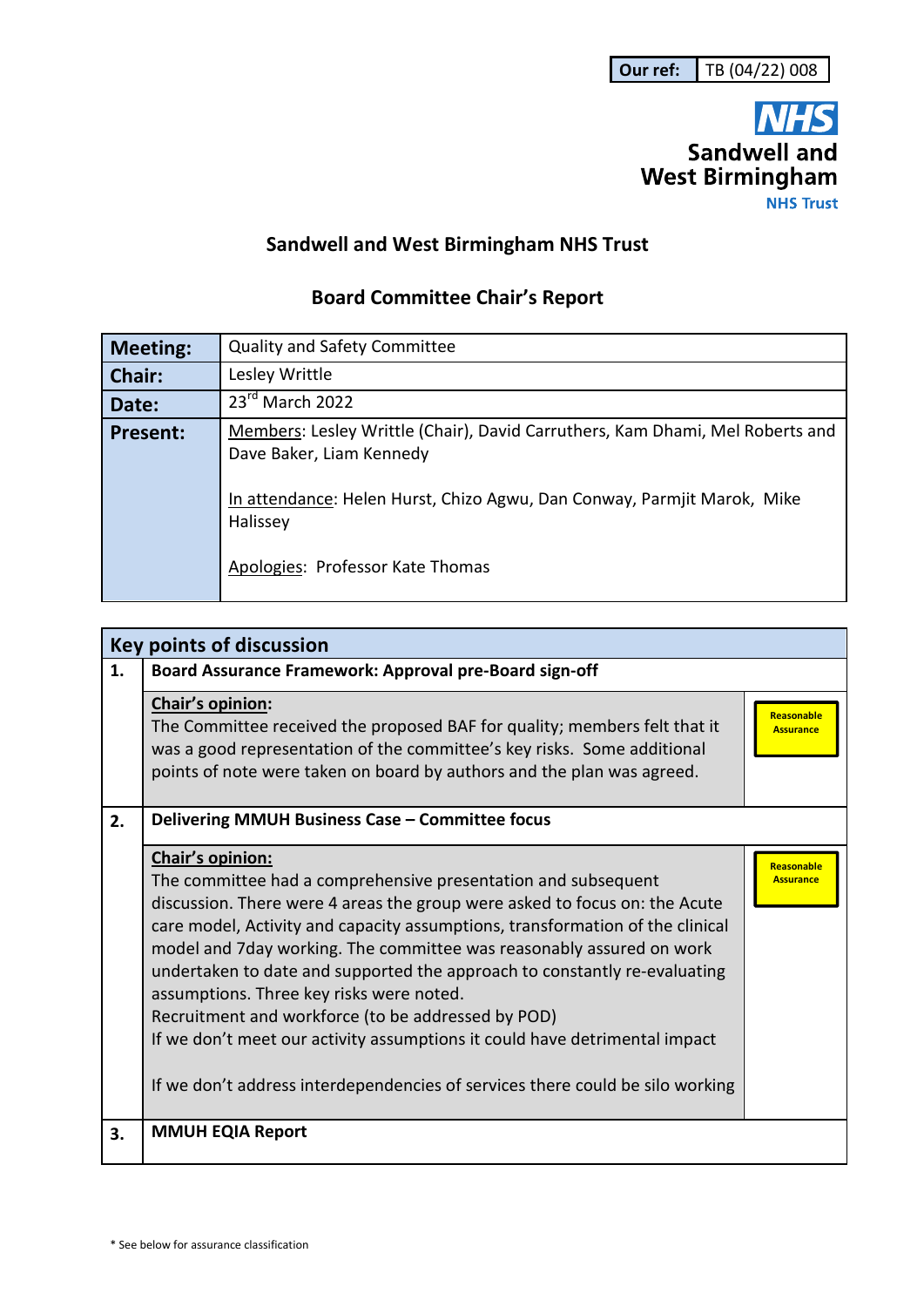

## **Sandwell and West Birmingham NHS Trust**

## **Board Committee Chair's Report**

| <b>Meeting:</b> | <b>Quality and Safety Committee</b>                                                                                                                                                  |
|-----------------|--------------------------------------------------------------------------------------------------------------------------------------------------------------------------------------|
| Chair:          | Lesley Writtle                                                                                                                                                                       |
| Date:           | 23rd March 2022                                                                                                                                                                      |
| <b>Present:</b> | Members: Lesley Writtle (Chair), David Carruthers, Kam Dhami, Mel Roberts and<br>Dave Baker, Liam Kennedy<br>In attendance: Helen Hurst, Chizo Agwu, Dan Conway, Parmjit Marok, Mike |
|                 | Halissey                                                                                                                                                                             |
|                 | Apologies: Professor Kate Thomas                                                                                                                                                     |

| <b>Key points of discussion</b> |                                                                                                                                                                                                                                                                                                                                                                                                                                                                                                                                                                                                                                                                        |                                       |  |  |
|---------------------------------|------------------------------------------------------------------------------------------------------------------------------------------------------------------------------------------------------------------------------------------------------------------------------------------------------------------------------------------------------------------------------------------------------------------------------------------------------------------------------------------------------------------------------------------------------------------------------------------------------------------------------------------------------------------------|---------------------------------------|--|--|
| 1.                              | Board Assurance Framework: Approval pre-Board sign-off                                                                                                                                                                                                                                                                                                                                                                                                                                                                                                                                                                                                                 |                                       |  |  |
|                                 | Chair's opinion:<br>The Committee received the proposed BAF for quality; members felt that it<br>was a good representation of the committee's key risks. Some additional<br>points of note were taken on board by authors and the plan was agreed.                                                                                                                                                                                                                                                                                                                                                                                                                     | <b>Reasonable</b><br><b>Assurance</b> |  |  |
| 2.                              | Delivering MMUH Business Case - Committee focus                                                                                                                                                                                                                                                                                                                                                                                                                                                                                                                                                                                                                        |                                       |  |  |
|                                 | Chair's opinion:<br>The committee had a comprehensive presentation and subsequent<br>discussion. There were 4 areas the group were asked to focus on: the Acute<br>care model, Activity and capacity assumptions, transformation of the clinical<br>model and 7day working. The committee was reasonably assured on work<br>undertaken to date and supported the approach to constantly re-evaluating<br>assumptions. Three key risks were noted.<br>Recruitment and workforce (to be addressed by POD)<br>If we don't meet our activity assumptions it could have detrimental impact<br>If we don't address interdependencies of services there could be silo working | Reasonable<br><b>Assurance</b>        |  |  |
| 3.                              | <b>MMUH EQIA Report</b>                                                                                                                                                                                                                                                                                                                                                                                                                                                                                                                                                                                                                                                |                                       |  |  |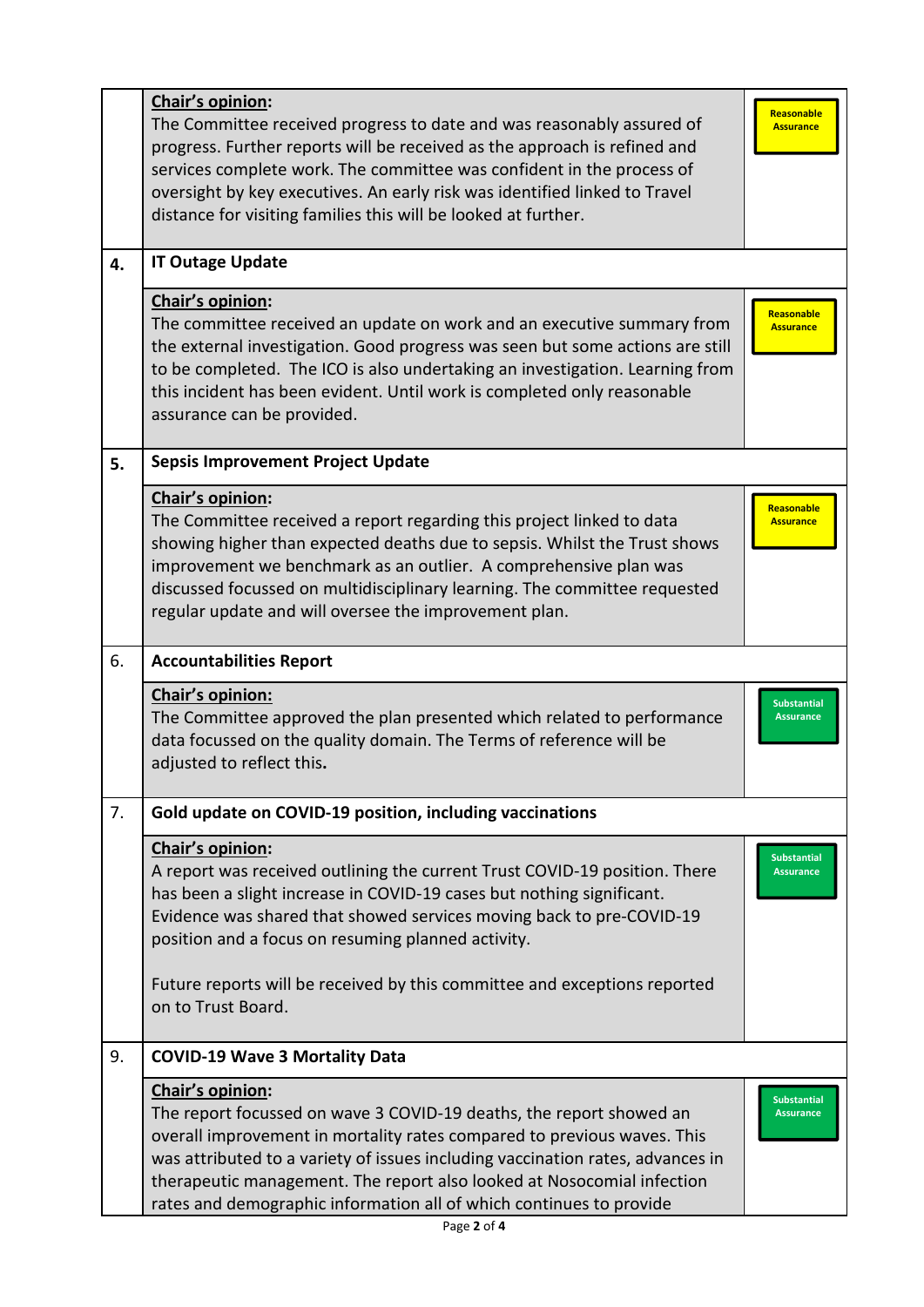|    | Chair's opinion:<br>The Committee received progress to date and was reasonably assured of<br>progress. Further reports will be received as the approach is refined and<br>services complete work. The committee was confident in the process of<br>oversight by key executives. An early risk was identified linked to Travel<br>distance for visiting families this will be looked at further.       | Reasonable<br><b>Assurance</b>         |
|----|-------------------------------------------------------------------------------------------------------------------------------------------------------------------------------------------------------------------------------------------------------------------------------------------------------------------------------------------------------------------------------------------------------|----------------------------------------|
| 4. | <b>IT Outage Update</b>                                                                                                                                                                                                                                                                                                                                                                               |                                        |
|    | Chair's opinion:<br>The committee received an update on work and an executive summary from<br>the external investigation. Good progress was seen but some actions are still<br>to be completed. The ICO is also undertaking an investigation. Learning from<br>this incident has been evident. Until work is completed only reasonable<br>assurance can be provided.                                  | Reasonable<br><b>Assurance</b>         |
| 5. | <b>Sepsis Improvement Project Update</b>                                                                                                                                                                                                                                                                                                                                                              |                                        |
|    | Chair's opinion:<br>The Committee received a report regarding this project linked to data<br>showing higher than expected deaths due to sepsis. Whilst the Trust shows<br>improvement we benchmark as an outlier. A comprehensive plan was<br>discussed focussed on multidisciplinary learning. The committee requested<br>regular update and will oversee the improvement plan.                      | <b>Reasonable</b><br><b>Assurance</b>  |
| 6. | <b>Accountabilities Report</b>                                                                                                                                                                                                                                                                                                                                                                        |                                        |
|    | Chair's opinion:<br>The Committee approved the plan presented which related to performance<br>data focussed on the quality domain. The Terms of reference will be<br>adjusted to reflect this.                                                                                                                                                                                                        | <b>Substantial</b><br><b>Assurance</b> |
| 7. | Gold update on COVID-19 position, including vaccinations                                                                                                                                                                                                                                                                                                                                              |                                        |
|    | Chair's opinion:<br>A report was received outlining the current Trust COVID-19 position. There<br>has been a slight increase in COVID-19 cases but nothing significant.<br>Evidence was shared that showed services moving back to pre-COVID-19<br>position and a focus on resuming planned activity.                                                                                                 | <b>Substantial</b><br><b>Assurance</b> |
|    | Future reports will be received by this committee and exceptions reported<br>on to Trust Board.                                                                                                                                                                                                                                                                                                       |                                        |
| 9. | <b>COVID-19 Wave 3 Mortality Data</b>                                                                                                                                                                                                                                                                                                                                                                 |                                        |
|    | Chair's opinion:<br>The report focussed on wave 3 COVID-19 deaths, the report showed an<br>overall improvement in mortality rates compared to previous waves. This<br>was attributed to a variety of issues including vaccination rates, advances in<br>therapeutic management. The report also looked at Nosocomial infection<br>rates and demographic information all of which continues to provide | <b>Substantial</b><br><b>Assurance</b> |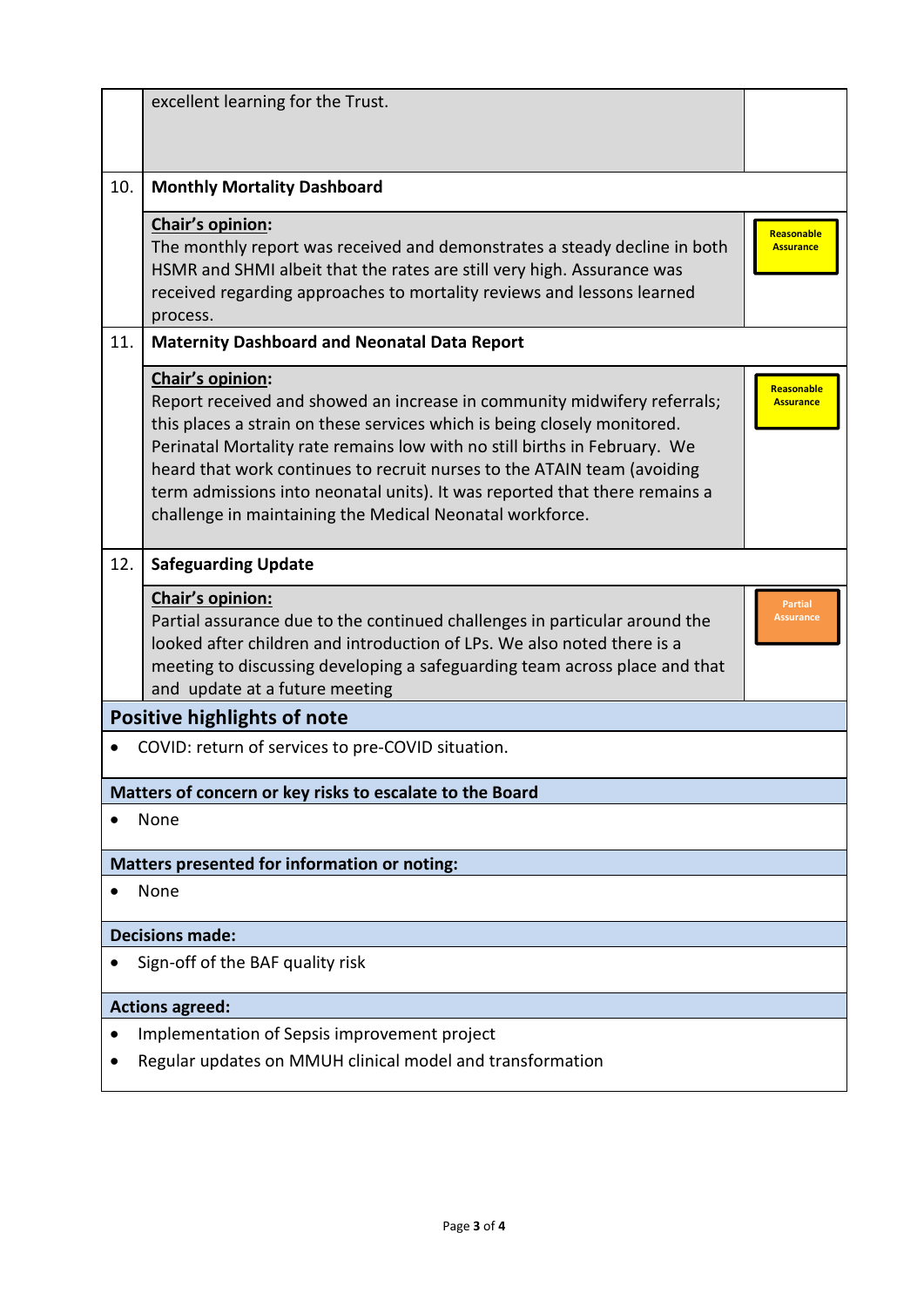|                        | excellent learning for the Trust.                                                                                                                                                                                                                                                                                                                                                                                                                                          |                                    |  |  |
|------------------------|----------------------------------------------------------------------------------------------------------------------------------------------------------------------------------------------------------------------------------------------------------------------------------------------------------------------------------------------------------------------------------------------------------------------------------------------------------------------------|------------------------------------|--|--|
| 10.                    | <b>Monthly Mortality Dashboard</b>                                                                                                                                                                                                                                                                                                                                                                                                                                         |                                    |  |  |
|                        | Chair's opinion:<br>The monthly report was received and demonstrates a steady decline in both<br>HSMR and SHMI albeit that the rates are still very high. Assurance was<br>received regarding approaches to mortality reviews and lessons learned<br>process.                                                                                                                                                                                                              | Reasonable<br><b>Assurance</b>     |  |  |
| 11.                    | <b>Maternity Dashboard and Neonatal Data Report</b>                                                                                                                                                                                                                                                                                                                                                                                                                        |                                    |  |  |
|                        | Chair's opinion:<br>Report received and showed an increase in community midwifery referrals;<br>this places a strain on these services which is being closely monitored.<br>Perinatal Mortality rate remains low with no still births in February. We<br>heard that work continues to recruit nurses to the ATAIN team (avoiding<br>term admissions into neonatal units). It was reported that there remains a<br>challenge in maintaining the Medical Neonatal workforce. | Reasonable<br><b>Assurance</b>     |  |  |
| 12.                    | <b>Safeguarding Update</b>                                                                                                                                                                                                                                                                                                                                                                                                                                                 |                                    |  |  |
|                        | Chair's opinion:<br>Partial assurance due to the continued challenges in particular around the<br>looked after children and introduction of LPs. We also noted there is a<br>meeting to discussing developing a safeguarding team across place and that<br>and update at a future meeting                                                                                                                                                                                  | <b>Partial</b><br><b>Assurance</b> |  |  |
|                        | <b>Positive highlights of note</b>                                                                                                                                                                                                                                                                                                                                                                                                                                         |                                    |  |  |
|                        | COVID: return of services to pre-COVID situation.                                                                                                                                                                                                                                                                                                                                                                                                                          |                                    |  |  |
|                        | Matters of concern or key risks to escalate to the Board                                                                                                                                                                                                                                                                                                                                                                                                                   |                                    |  |  |
|                        | None                                                                                                                                                                                                                                                                                                                                                                                                                                                                       |                                    |  |  |
|                        | Matters presented for information or noting:                                                                                                                                                                                                                                                                                                                                                                                                                               |                                    |  |  |
|                        | None                                                                                                                                                                                                                                                                                                                                                                                                                                                                       |                                    |  |  |
| <b>Decisions made:</b> |                                                                                                                                                                                                                                                                                                                                                                                                                                                                            |                                    |  |  |
|                        | Sign-off of the BAF quality risk                                                                                                                                                                                                                                                                                                                                                                                                                                           |                                    |  |  |
| <b>Actions agreed:</b> |                                                                                                                                                                                                                                                                                                                                                                                                                                                                            |                                    |  |  |
|                        | Implementation of Sepsis improvement project                                                                                                                                                                                                                                                                                                                                                                                                                               |                                    |  |  |
|                        | Regular updates on MMUH clinical model and transformation                                                                                                                                                                                                                                                                                                                                                                                                                  |                                    |  |  |